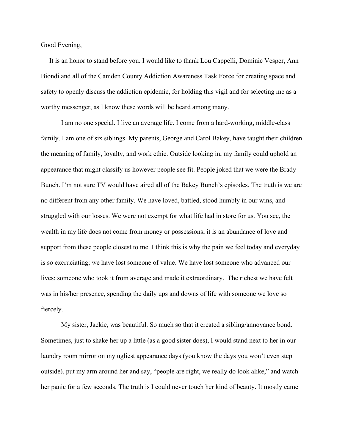Good Evening,

 It is an honor to stand before you. I would like to thank Lou Cappelli, Dominic Vesper, Ann Biondi and all of the Camden County Addiction Awareness Task Force for creating space and safety to openly discuss the addiction epidemic, for holding this vigil and for selecting me as a worthy messenger, as I know these words will be heard among many.

I am no one special. I live an average life. I come from a hard-working, middle-class family. I am one of six siblings. My parents, George and Carol Bakey, have taught their children the meaning of family, loyalty, and work ethic. Outside looking in, my family could uphold an appearance that might classify us however people see fit. People joked that we were the Brady Bunch. I'm not sure TV would have aired all of the Bakey Bunch's episodes. The truth is we are no different from any other family. We have loved, battled, stood humbly in our wins, and struggled with our losses. We were not exempt for what life had in store for us. You see, the wealth in my life does not come from money or possessions; it is an abundance of love and support from these people closest to me. I think this is why the pain we feel today and everyday is so excruciating; we have lost someone of value. We have lost someone who advanced our lives; someone who took it from average and made it extraordinary. The richest we have felt was in his/her presence, spending the daily ups and downs of life with someone we love so fiercely.

My sister, Jackie, was beautiful. So much so that it created a sibling/annoyance bond. Sometimes, just to shake her up a little (as a good sister does), I would stand next to her in our laundry room mirror on my ugliest appearance days (you know the days you won't even step outside), put my arm around her and say, "people are right, we really do look alike," and watch her panic for a few seconds. The truth is I could never touch her kind of beauty. It mostly came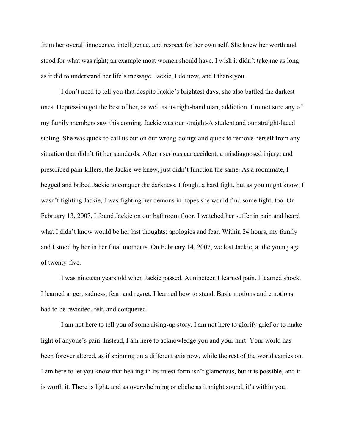from her overall innocence, intelligence, and respect for her own self. She knew her worth and stood for what was right; an example most women should have. I wish it didn't take me as long as it did to understand her life's message. Jackie, I do now, and I thank you.

I don't need to tell you that despite Jackie's brightest days, she also battled the darkest ones. Depression got the best of her, as well as its right-hand man, addiction. I'm not sure any of my family members saw this coming. Jackie was our straight-A student and our straight-laced sibling. She was quick to call us out on our wrong-doings and quick to remove herself from any situation that didn't fit her standards. After a serious car accident, a misdiagnosed injury, and prescribed pain-killers, the Jackie we knew, just didn't function the same. As a roommate, I begged and bribed Jackie to conquer the darkness. I fought a hard fight, but as you might know, I wasn't fighting Jackie, I was fighting her demons in hopes she would find some fight, too. On February 13, 2007, I found Jackie on our bathroom floor. I watched her suffer in pain and heard what I didn't know would be her last thoughts: apologies and fear. Within 24 hours, my family and I stood by her in her final moments. On February 14, 2007, we lost Jackie, at the young age of twenty-five.

I was nineteen years old when Jackie passed. At nineteen I learned pain. I learned shock. I learned anger, sadness, fear, and regret. I learned how to stand. Basic motions and emotions had to be revisited, felt, and conquered.

I am not here to tell you of some rising-up story. I am not here to glorify grief or to make light of anyone's pain. Instead, I am here to acknowledge you and your hurt. Your world has been forever altered, as if spinning on a different axis now, while the rest of the world carries on. I am here to let you know that healing in its truest form isn't glamorous, but it is possible, and it is worth it. There is light, and as overwhelming or cliche as it might sound, it's within you.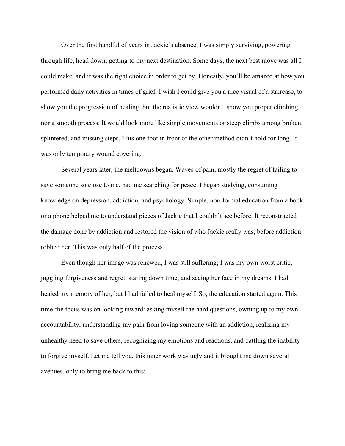Over the first handful of years in Jackie's absence, I was simply surviving, powering through life, head down, getting to my next destination. Some days, the next best move was all I could make, and it was the right choice in order to get by. Honestly, you'll be amazed at how you performed daily activities in times of grief. I wish I could give you a nice visual of a staircase, to show you the progression of healing, but the realistic view wouldn't show you proper climbing nor a smooth process. It would look more like simple movements or steep climbs among broken, splintered, and missing steps. This one foot in front of the other method didn't hold for long. It was only temporary wound covering.

Several years later, the meltdowns began. Waves of pain, mostly the regret of failing to save someone so close to me, had me searching for peace. I began studying, consuming knowledge on depression, addiction, and psychology. Simple, non-formal education from a book or a phone helped me to understand pieces of Jackie that I couldn't see before. It reconstructed the damage done by addiction and restored the vision of who Jackie really was, before addiction robbed her. This was only half of the process.

Even though her image was renewed, I was still suffering; I was my own worst critic, juggling forgiveness and regret, staring down time, and seeing her face in my dreams. I had healed my memory of her, but I had failed to heal myself. So, the education started again. This time-the focus was on looking inward: asking myself the hard questions, owning up to my own accountability, understanding my pain from loving someone with an addiction, realizing my unhealthy need to save others, recognizing my emotions and reactions, and battling the inability to forgive myself. Let me tell you, this inner work was ugly and it brought me down several avenues, only to bring me back to this: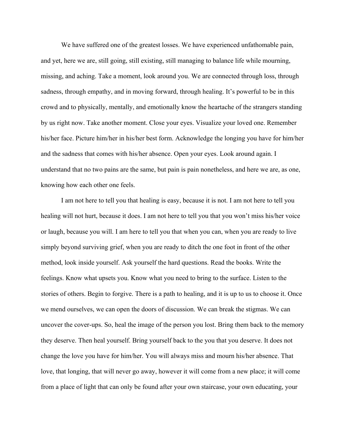We have suffered one of the greatest losses. We have experienced unfathomable pain, and yet, here we are, still going, still existing, still managing to balance life while mourning, missing, and aching. Take a moment, look around you. We are connected through loss, through sadness, through empathy, and in moving forward, through healing. It's powerful to be in this crowd and to physically, mentally, and emotionally know the heartache of the strangers standing by us right now. Take another moment. Close your eyes. Visualize your loved one. Remember his/her face. Picture him/her in his/her best form. Acknowledge the longing you have for him/her and the sadness that comes with his/her absence. Open your eyes. Look around again. I understand that no two pains are the same, but pain is pain nonetheless, and here we are, as one, knowing how each other one feels.

I am not here to tell you that healing is easy, because it is not. I am not here to tell you healing will not hurt, because it does. I am not here to tell you that you won't miss his/her voice or laugh, because you will. I am here to tell you that when you can, when you are ready to live simply beyond surviving grief, when you are ready to ditch the one foot in front of the other method, look inside yourself. Ask yourself the hard questions. Read the books. Write the feelings. Know what upsets you. Know what you need to bring to the surface. Listen to the stories of others. Begin to forgive. There is a path to healing, and it is up to us to choose it. Once we mend ourselves, we can open the doors of discussion. We can break the stigmas. We can uncover the cover-ups. So, heal the image of the person you lost. Bring them back to the memory they deserve. Then heal yourself. Bring yourself back to the you that you deserve. It does not change the love you have for him/her. You will always miss and mourn his/her absence. That love, that longing, that will never go away, however it will come from a new place; it will come from a place of light that can only be found after your own staircase, your own educating, your